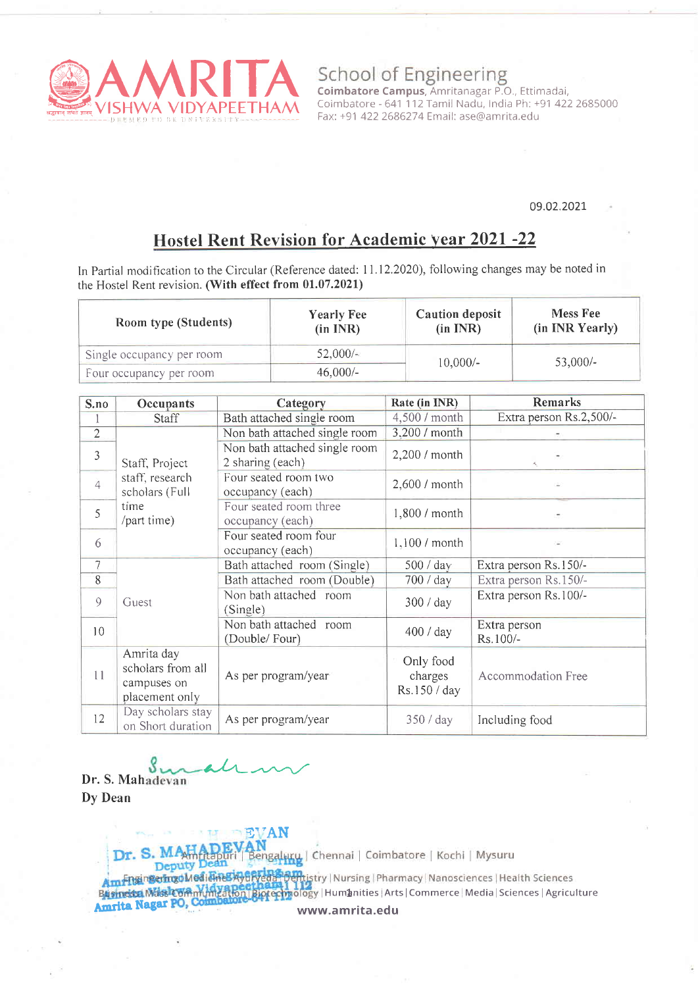

School of Engineering<br>
Coimbatore Campus, Amritanagar P.O., Ettimadai, Coimbatore - 641 112 Tamil Nadu. India Ph: +91 422 2685000 Fax: +91 4222686274 Email: ase@amrita.edu

#### 09.02.2021.

# Hostel Rent Revision for Academic year 2021 -22

In Partial modification to the Circular (Reference dated: 11.12.2020), following changes may be noted in the Hostel Rent revision. (With effect from 01.07.2021)

| Room type (Students)      | <b>Yearly Fee</b><br>(in INR) | Caution deposit<br>(in INR) | <b>Mess Fee</b><br>(in INR Yearly) |
|---------------------------|-------------------------------|-----------------------------|------------------------------------|
| Single occupancy per room | $52,000/-$                    | $10,000/-$                  | $53,000/-$                         |
| Four occupancy per room   | $46,000/-$                    |                             |                                    |

| S.no            | Occupants                                                        | Category                                          | Rate (in INR)                        | Remarks                  |
|-----------------|------------------------------------------------------------------|---------------------------------------------------|--------------------------------------|--------------------------|
|                 | Staff                                                            | Bath attached single room                         | 4,500 / month                        | Extra person Rs.2,500/-  |
| $\overline{2}$  |                                                                  | Non bath attached single room                     | 3,200 / month                        |                          |
| 3               | Staff, Project<br>staff, research<br>scholars (Full              | Non bath attached single room<br>2 sharing (each) | 2,200 / month                        |                          |
| $\overline{4}$  |                                                                  | Four seated room two<br>occupancy (each)          | 2,600 / month                        |                          |
| 5               | time<br>/part time)                                              | Four seated room three<br>occupancy (each)        | 1,800 / month                        | $\sim$                   |
| 6               |                                                                  | Four seated room four<br>occupancy (each)         | 1,100 / month                        |                          |
| 7               |                                                                  | Bath attached room (Single)                       | 500 / day                            | Extra person Rs.150/-    |
| 8               |                                                                  | Bath attached room (Double)                       | 700 / day                            | Extra person Rs.150/-    |
| 9               | Guest                                                            | Non bath attached room<br>(Single)                | 300 / day                            | Extra person Rs.100/-    |
| 10 <sup>°</sup> |                                                                  | Non bath attached room<br>(Double/Four)           | 400 / day                            | Extra person<br>Rs.100/- |
| 11              | Amrita day<br>scholars from all<br>campuses on<br>placement only | As per program/year                               | Only food<br>charges<br>Rs.150 / day | Accommodation Free       |
| 12              | Day scholars stay<br>on Short duration                           | As per program/year                               | 350 / day                            | Including food           |

S  $\mu$ Dr. S. Mahadevan

Dy Dean

EV**AN**<br><mark>AN</mark><br>Bengaluku | Chennai | Coimbatore | Kochi | Mysuru Dr.

Deputy Am FusingeringdMedidinesiyaryeda Poentistry | Nursing | Pharmacy | Nanosciences | Health Sciences Businessa Massic Wamunication | Biotechnology | Humanities | Arts | Commerce | Media | Sciences | Agriculture Amrita Nagar PO, C www.amrita.edu